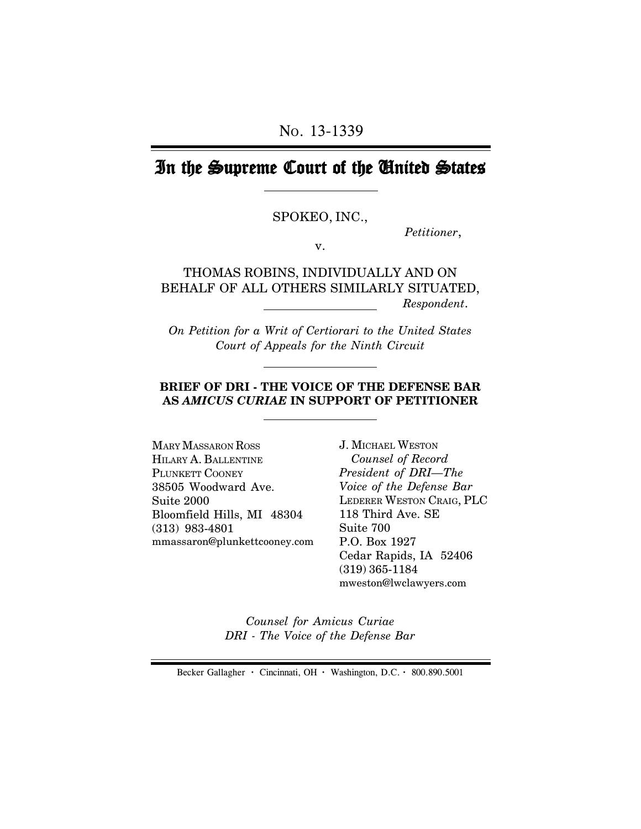# In the Supreme Court of the United States

#### SPOKEO, INC.,

*Petitioner*,

v.

THOMAS ROBINS, INDIVIDUALLY AND ON BEHALF OF ALL OTHERS SIMILARLY SITUATED,  *Respondent*.

*On Petition for a Writ of Certiorari to the United States Court of Appeals for the Ninth Circuit*

### **BRIEF OF DRI - THE VOICE OF THE DEFENSE BAR AS** *AMICUS CURIAE* **IN SUPPORT OF PETITIONER**

MARY MASSARON ROSS HILARY A. BALLENTINE PLUNKETT COONEY 38505 Woodward Ave. Suite 2000 Bloomfield Hills, MI 48304 (313) 983-4801 mmassaron@plunkettcooney.com J. MICHAEL WESTON *Counsel of Record President of DRI—The Voice of the Defense Bar* LEDERER WESTON CRAIG, PLC 118 Third Ave. SE Suite 700 P.O. Box 1927 Cedar Rapids, IA 52406 (319) 365-1184 mweston@lwclawyers.com

*Counsel for Amicus Curiae DRI - The Voice of the Defense Bar*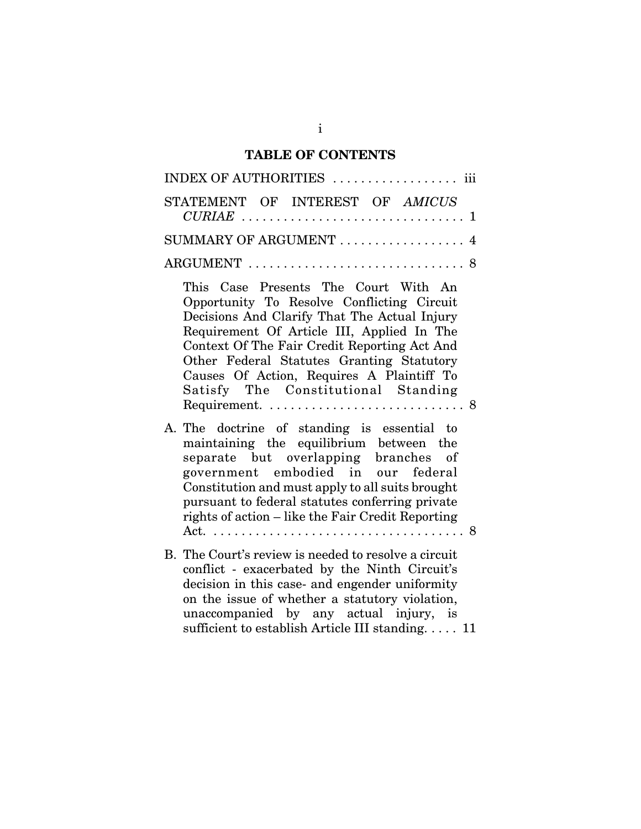## **TABLE OF CONTENTS**

| INDEX OF AUTHORITIES  iii                                                                                                                                                                                                                                                                                                                                                                                                      |
|--------------------------------------------------------------------------------------------------------------------------------------------------------------------------------------------------------------------------------------------------------------------------------------------------------------------------------------------------------------------------------------------------------------------------------|
| STATEMENT OF INTEREST OF AMICUS<br>CURL 1.1                                                                                                                                                                                                                                                                                                                                                                                    |
| SUMMARY OF ARGUMENT  4                                                                                                                                                                                                                                                                                                                                                                                                         |
|                                                                                                                                                                                                                                                                                                                                                                                                                                |
| This Case Presents The Court With An<br>Opportunity To Resolve Conflicting Circuit<br>Decisions And Clarify That The Actual Injury<br>Requirement Of Article III, Applied In The<br>Context Of The Fair Credit Reporting Act And<br>Other Federal Statutes Granting Statutory<br>Causes Of Action, Requires A Plaintiff To<br>Satisfy The Constitutional Standing<br>Requirement. $\dots\dots\dots\dots\dots\dots\dots\dots 8$ |
| A. The doctrine of standing is essential to<br>maintaining the equilibrium between the<br>separate but overlapping branches of<br>government embodied in our federal<br>Constitution and must apply to all suits brought<br>pursuant to federal statutes conferring private<br>rights of action – like the Fair Credit Reporting                                                                                               |
| B. The Court's review is needed to resolve a circuit<br>conflict - exacerbated by the Ninth Circuit's<br>decision in this case- and engender uniformity<br>on the issue of whether a statutory violation,                                                                                                                                                                                                                      |

unaccompanied by any actual injury, is sufficient to establish Article III standing. . . . . 11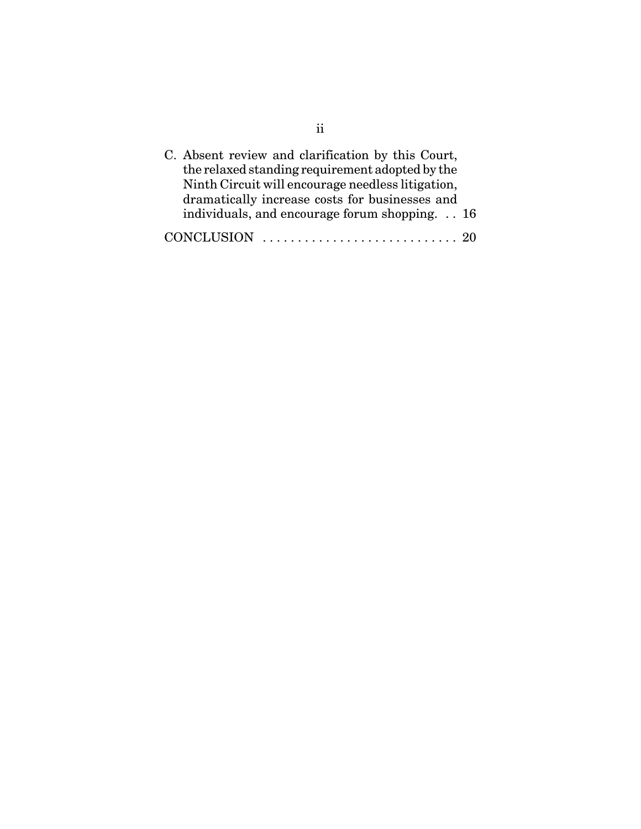| C. Absent review and clarification by this Court,                                                         |
|-----------------------------------------------------------------------------------------------------------|
| the relaxed standing requirement adopted by the                                                           |
| Ninth Circuit will encourage needless litigation,                                                         |
| dramatically increase costs for businesses and                                                            |
| individuals, and encourage forum shopping. 16                                                             |
| <b>CONCLUSION</b><br>$\mathcal{L} = \mathcal{L} \times \mathcal{L} \times \mathcal{L} \times \mathcal{L}$ |

ii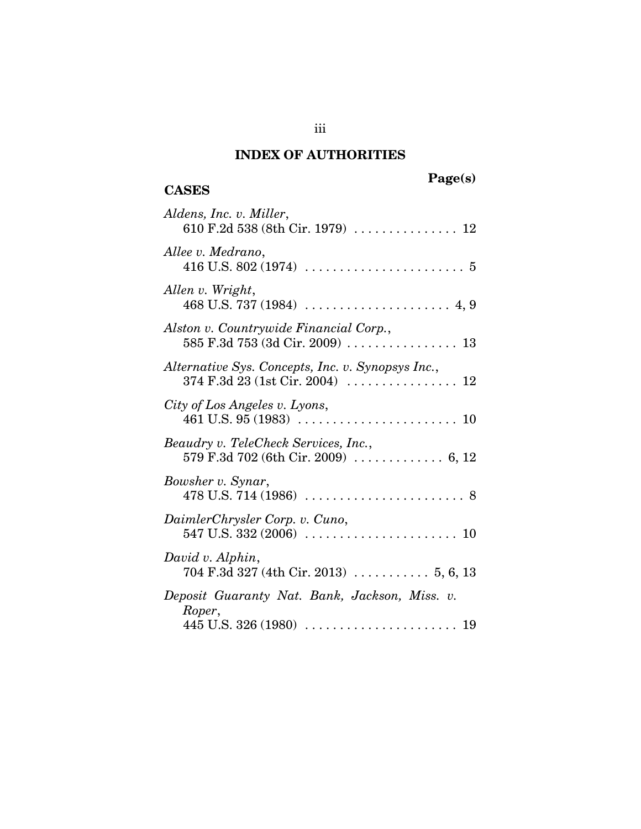## **INDEX OF AUTHORITIES**

| Aldens, Inc. v. Miller,                                                                                   |
|-----------------------------------------------------------------------------------------------------------|
|                                                                                                           |
| Allee v. Medrano,                                                                                         |
| Allen v. Wright,                                                                                          |
| Alston v. Countrywide Financial Corp.,<br>585 F.3d 753 (3d Cir. 2009)  13                                 |
| Alternative Sys. Concepts, Inc. v. Synopsys Inc.,                                                         |
| City of Los Angeles v. Lyons,                                                                             |
| Beaudry v. TeleCheck Services, Inc.,<br>579 F.3d 702 (6th Cir. 2009) $\ldots \ldots \ldots \ldots$ 6, 12  |
| Bowsher v. Synar,<br>478 U.S. 714 (1986) $\ldots \ldots \ldots \ldots \ldots \ldots \ldots \ldots \ldots$ |
| DaimlerChrysler Corp. v. Cuno,                                                                            |
| David v. Alphin,<br>704 F.3d 327 (4th Cir. 2013)  5, 6, 13                                                |
| Deposit Guaranty Nat. Bank, Jackson, Miss. v.<br>Roper,                                                   |
|                                                                                                           |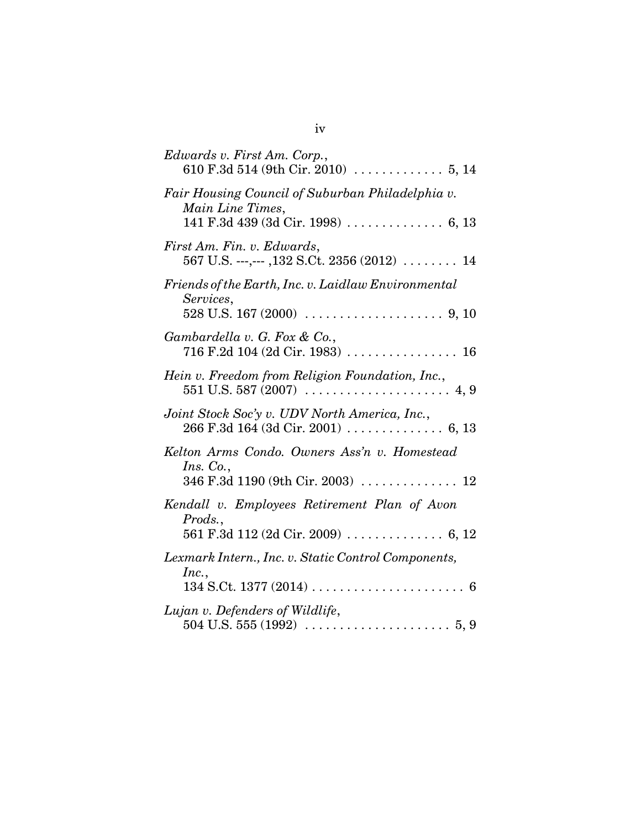| Edwards v. First Am. Corp.,<br>610 F.3d 514 (9th Cir. 2010)  5, 14                                         |
|------------------------------------------------------------------------------------------------------------|
| Fair Housing Council of Suburban Philadelphia v.<br>Main Line Times,<br>141 F.3d 439 (3d Cir. 1998)  6, 13 |
| First Am. Fin. v. Edwards,<br>567 U.S. ---,--- ,132 S.Ct. 2356 (2012) $\ldots$ 14                          |
| Friends of the Earth, Inc. v. Laidlaw Environmental<br>Services,                                           |
| Gambardella v. G. Fox & Co.,                                                                               |
| Hein v. Freedom from Religion Foundation, Inc.,                                                            |
| Joint Stock Soc'y v. UDV North America, Inc.,                                                              |
| Kelton Arms Condo. Owners Ass'n v. Homestead<br>Ins. Co.,<br>346 F.3d 1190 (9th Cir. 2003)  12             |
| Kendall v. Employees Retirement Plan of Avon<br>Prods.,                                                    |
| Lexmark Intern., Inc. v. Static Control Components,<br>Inc.,                                               |
| Lujan v. Defenders of Wildlife,                                                                            |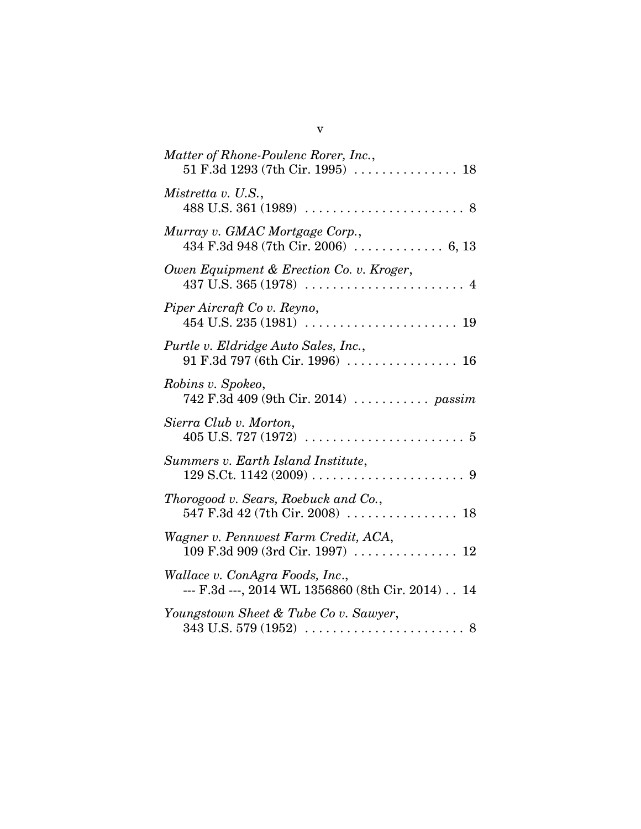| Matter of Rhone-Poulenc Rorer, Inc.,                                                                 |
|------------------------------------------------------------------------------------------------------|
| Mistretta v. U.S.,                                                                                   |
| Murray v. GMAC Mortgage Corp.,                                                                       |
| Owen Equipment & Erection Co. v. Kroger,<br>$437$ U.S. $365$ $(1978)$<br>$\overline{4}$              |
| Piper Aircraft Co v. Reyno,                                                                          |
| Purtle v. Eldridge Auto Sales, Inc.,<br>$91 F.3d 797 (6th Cir. 1996) \ldots \ldots \ldots \ldots 16$ |
| Robins v. Spokeo,<br>742 F.3d 409 (9th Cir. 2014)  passim                                            |
| Sierra Club v. Morton,                                                                               |
| Summers v. Earth Island Institute,                                                                   |
| Thorogood v. Sears, Roebuck and Co.,                                                                 |
| Wagner v. Pennwest Farm Credit, ACA,<br>109 F.3d 909 (3rd Cir. 1997)  12                             |
| Wallace v. ConAgra Foods, Inc.,<br>--- F.3d ---, 2014 WL 1356860 (8th Cir. 2014) 14                  |
| Youngstown Sheet & Tube Co v. Sawyer,                                                                |
|                                                                                                      |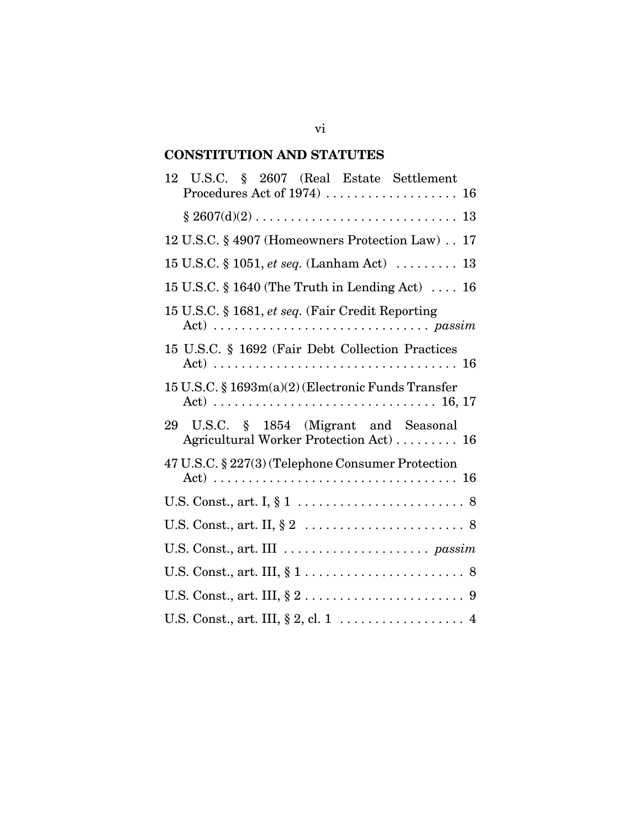## **CONSTITUTION AND STATUTES**

| 12 U.S.C. § 2607 (Real Estate Settlement<br>Procedures Act of 1974)  16           |
|-----------------------------------------------------------------------------------|
|                                                                                   |
| 12 U.S.C. § 4907 (Homeowners Protection Law)<br>17                                |
| 15 U.S.C. $\S 1051$ , <i>et seq.</i> (Lanham Act) $\ldots \ldots$<br>13           |
| 15 U.S.C. $\S$ 1640 (The Truth in Lending Act)  16                                |
| 15 U.S.C. § 1681, et seq. (Fair Credit Reporting                                  |
| 15 U.S.C. § 1692 (Fair Debt Collection Practices                                  |
| 15 U.S.C. § 1693m(a)(2) (Electronic Funds Transfer                                |
| 29 U.S.C. § 1854 (Migrant and Seasonal<br>Agricultural Worker Protection Act)  16 |
| 47 U.S.C. § 227(3) (Telephone Consumer Protection                                 |
|                                                                                   |
|                                                                                   |
|                                                                                   |
|                                                                                   |
|                                                                                   |
| U.S. Const., art. III, $\S 2$ , cl. 1 4                                           |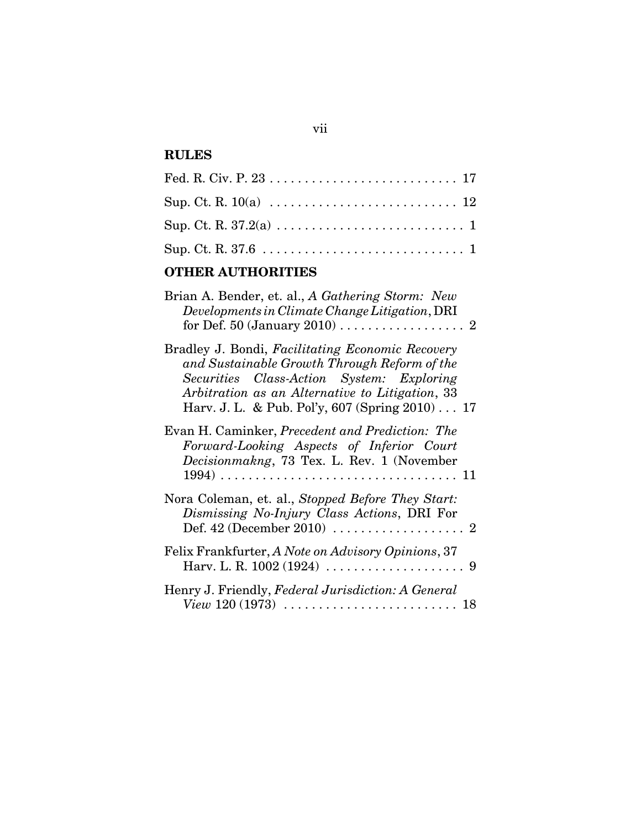## **RULES**

## **OTHER AUTHORITIES**

| Brian A. Bender, et. al., A Gathering Storm: New<br>Developments in Climate Change Litigation, DRI<br>for Def. 50 (January 2010) $\dots \dots \dots \dots \dots \dots$                                                                             |  |
|----------------------------------------------------------------------------------------------------------------------------------------------------------------------------------------------------------------------------------------------------|--|
| Bradley J. Bondi, Facilitating Economic Recovery<br>and Sustainable Growth Through Reform of the<br>Securities Class-Action System: Exploring<br>Arbitration as an Alternative to Litigation, 33<br>Harv. J. L. & Pub. Pol'y, 607 (Spring 2010) 17 |  |
| Evan H. Caminker, Precedent and Prediction: The<br>Forward-Looking Aspects of Inferior Court<br>Decisionmakng, 73 Tex. L. Rev. 1 (November                                                                                                         |  |
| Nora Coleman, et. al., Stopped Before They Start:<br>Dismissing No-Injury Class Actions, DRI For                                                                                                                                                   |  |
| Felix Frankfurter, A Note on Advisory Opinions, 37                                                                                                                                                                                                 |  |
| Henry J. Friendly, Federal Jurisdiction: A General                                                                                                                                                                                                 |  |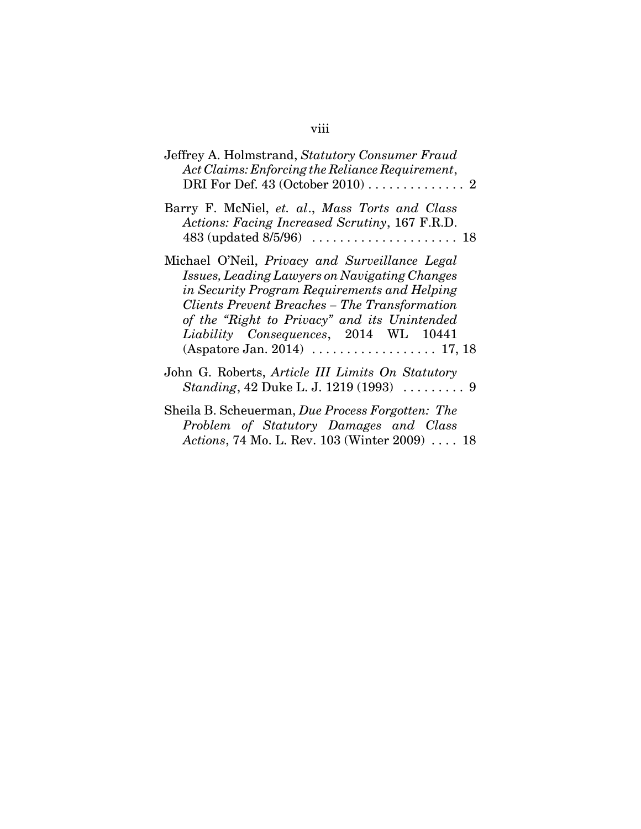| Jeffrey A. Holmstrand, Statutory Consumer Fraud<br>Act Claims: Enforcing the Reliance Requirement,<br>DRI For Def. 43 (October 2010) 2                                                                                                                                                    |
|-------------------------------------------------------------------------------------------------------------------------------------------------------------------------------------------------------------------------------------------------------------------------------------------|
| Barry F. McNiel, et. al., Mass Torts and Class<br>Actions: Facing Increased Scrutiny, 167 F.R.D.                                                                                                                                                                                          |
| Michael O'Neil, Privacy and Surveillance Legal<br>Issues, Leading Lawyers on Navigating Changes<br>in Security Program Requirements and Helping<br>Clients Prevent Breaches - The Transformation<br>of the "Right to Privacy" and its Unintended<br>Liability Consequences, 2014 WL 10441 |
| John G. Roberts, Article III Limits On Statutory                                                                                                                                                                                                                                          |
| Sheila B. Scheuerman, Due Process Forgotten: The<br>Problem of Statutory Damages and Class<br>Actions, 74 Mo. L. Rev. 103 (Winter 2009)  18                                                                                                                                               |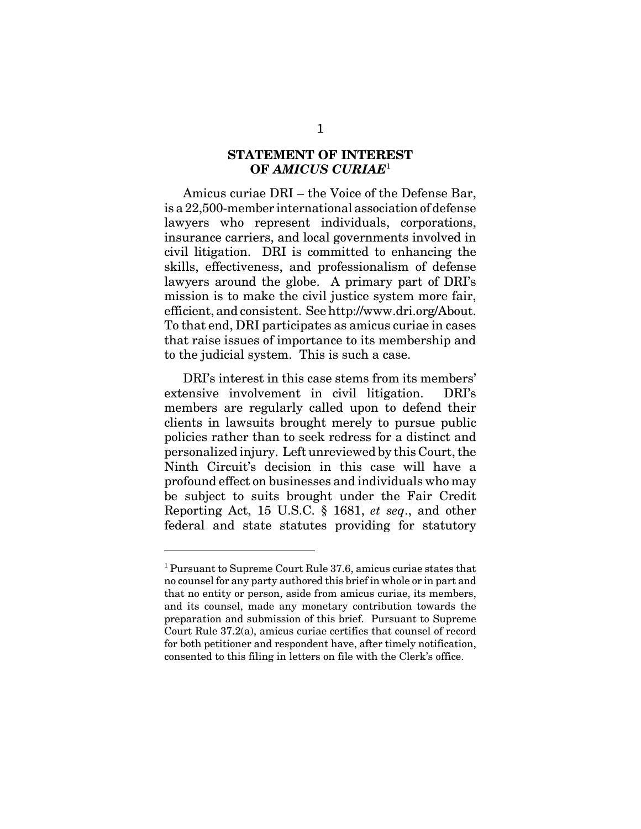## **STATEMENT OF INTEREST OF** *AMICUS CURIAE*<sup>1</sup>

Amicus curiae DRI – the Voice of the Defense Bar, is a 22,500-member international association of defense lawyers who represent individuals, corporations, insurance carriers, and local governments involved in civil litigation. DRI is committed to enhancing the skills, effectiveness, and professionalism of defense lawyers around the globe. A primary part of DRI's mission is to make the civil justice system more fair, efficient, and consistent. See http://www.dri.org/About. To that end, DRI participates as amicus curiae in cases that raise issues of importance to its membership and to the judicial system. This is such a case.

DRI's interest in this case stems from its members' extensive involvement in civil litigation. DRI's members are regularly called upon to defend their clients in lawsuits brought merely to pursue public policies rather than to seek redress for a distinct and personalized injury. Left unreviewed by this Court, the Ninth Circuit's decision in this case will have a profound effect on businesses and individuals who may be subject to suits brought under the Fair Credit Reporting Act, 15 U.S.C. § 1681, *et seq*., and other federal and state statutes providing for statutory

<sup>&</sup>lt;sup>1</sup> Pursuant to Supreme Court Rule 37.6, amicus curiae states that no counsel for any party authored this brief in whole or in part and that no entity or person, aside from amicus curiae, its members, and its counsel, made any monetary contribution towards the preparation and submission of this brief. Pursuant to Supreme Court Rule 37.2(a), amicus curiae certifies that counsel of record for both petitioner and respondent have, after timely notification, consented to this filing in letters on file with the Clerk's office.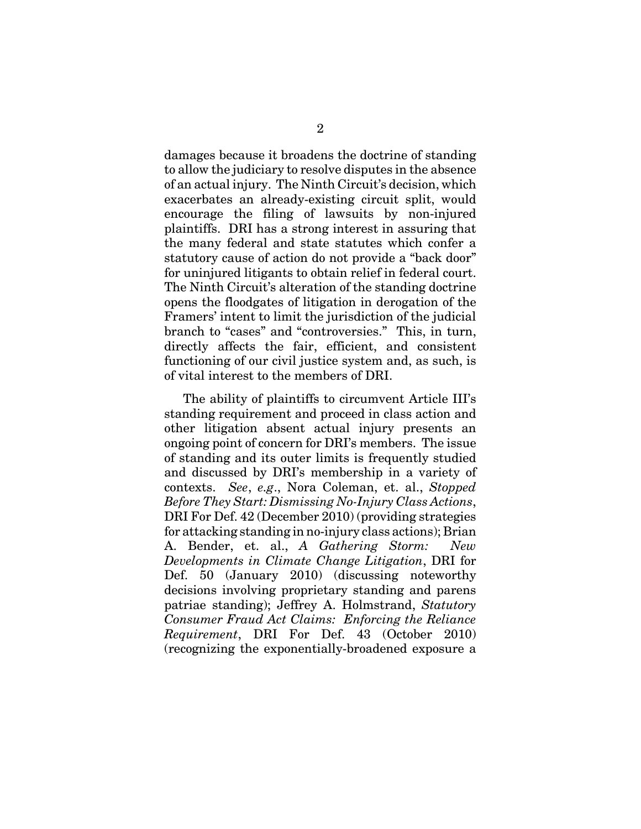damages because it broadens the doctrine of standing to allow the judiciary to resolve disputes in the absence of an actual injury. The Ninth Circuit's decision, which exacerbates an already-existing circuit split, would encourage the filing of lawsuits by non-injured plaintiffs. DRI has a strong interest in assuring that the many federal and state statutes which confer a statutory cause of action do not provide a "back door" for uninjured litigants to obtain relief in federal court. The Ninth Circuit's alteration of the standing doctrine opens the floodgates of litigation in derogation of the Framers' intent to limit the jurisdiction of the judicial branch to "cases" and "controversies." This, in turn, directly affects the fair, efficient, and consistent functioning of our civil justice system and, as such, is of vital interest to the members of DRI.

The ability of plaintiffs to circumvent Article III's standing requirement and proceed in class action and other litigation absent actual injury presents an ongoing point of concern for DRI's members. The issue of standing and its outer limits is frequently studied and discussed by DRI's membership in a variety of contexts. *See*, *e.g*., Nora Coleman, et. al., *Stopped Before They Start: Dismissing No-Injury Class Actions*, DRI For Def. 42 (December 2010) (providing strategies for attacking standing in no-injury class actions); Brian A. Bender, et. al., *A Gathering Storm: New Developments in Climate Change Litigation*, DRI for Def. 50 (January 2010) (discussing noteworthy decisions involving proprietary standing and parens patriae standing); Jeffrey A. Holmstrand, *Statutory Consumer Fraud Act Claims: Enforcing the Reliance Requirement*, DRI For Def. 43 (October 2010) (recognizing the exponentially-broadened exposure a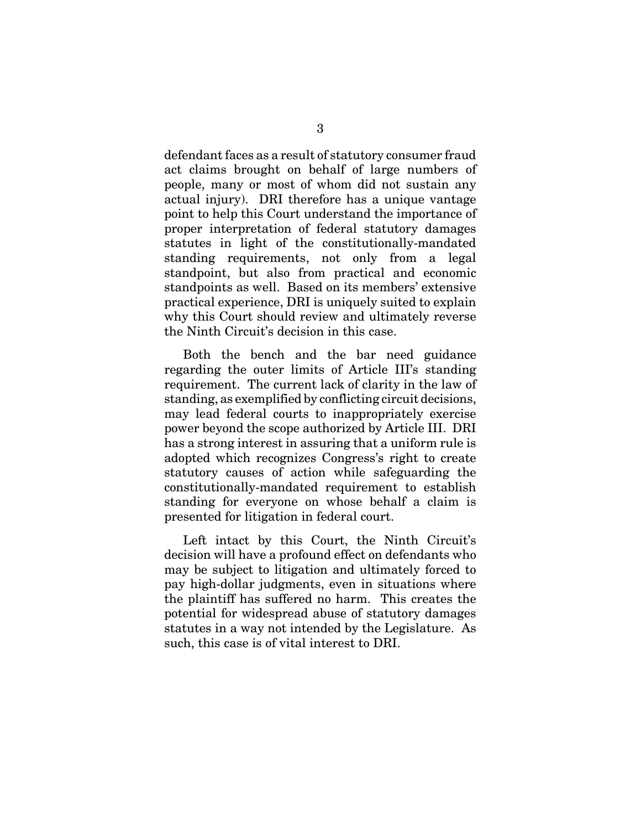defendant faces as a result of statutory consumer fraud act claims brought on behalf of large numbers of people, many or most of whom did not sustain any actual injury). DRI therefore has a unique vantage point to help this Court understand the importance of proper interpretation of federal statutory damages statutes in light of the constitutionally-mandated standing requirements, not only from a legal standpoint, but also from practical and economic standpoints as well. Based on its members' extensive practical experience, DRI is uniquely suited to explain why this Court should review and ultimately reverse the Ninth Circuit's decision in this case.

Both the bench and the bar need guidance regarding the outer limits of Article III's standing requirement. The current lack of clarity in the law of standing, as exemplified by conflicting circuit decisions, may lead federal courts to inappropriately exercise power beyond the scope authorized by Article III. DRI has a strong interest in assuring that a uniform rule is adopted which recognizes Congress's right to create statutory causes of action while safeguarding the constitutionally-mandated requirement to establish standing for everyone on whose behalf a claim is presented for litigation in federal court.

Left intact by this Court, the Ninth Circuit's decision will have a profound effect on defendants who may be subject to litigation and ultimately forced to pay high-dollar judgments, even in situations where the plaintiff has suffered no harm. This creates the potential for widespread abuse of statutory damages statutes in a way not intended by the Legislature. As such, this case is of vital interest to DRI.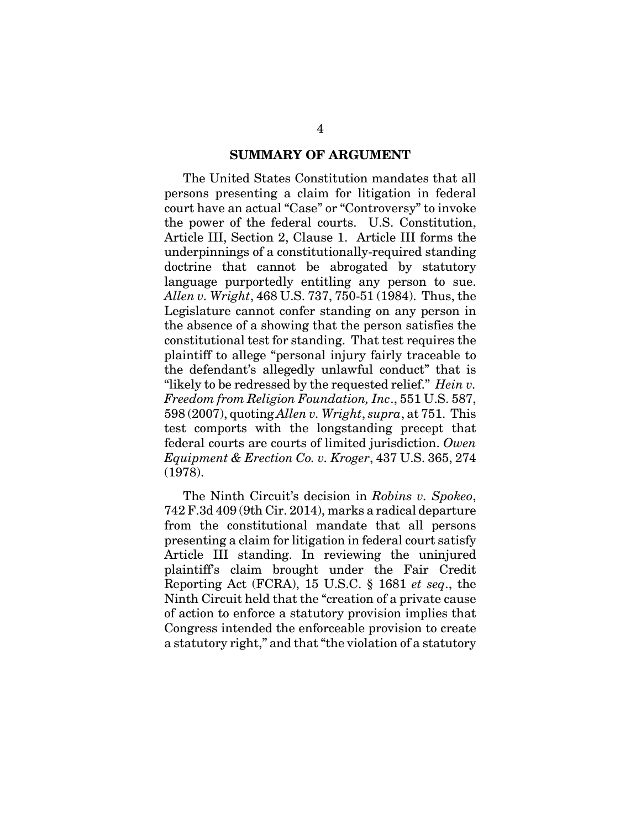#### **SUMMARY OF ARGUMENT**

The United States Constitution mandates that all persons presenting a claim for litigation in federal court have an actual "Case" or "Controversy" to invoke the power of the federal courts. U.S. Constitution, Article III, Section 2, Clause 1. Article III forms the underpinnings of a constitutionally-required standing doctrine that cannot be abrogated by statutory language purportedly entitling any person to sue. *Allen v. Wright*, 468 U.S. 737, 750-51 (1984). Thus, the Legislature cannot confer standing on any person in the absence of a showing that the person satisfies the constitutional test for standing. That test requires the plaintiff to allege "personal injury fairly traceable to the defendant's allegedly unlawful conduct" that is "likely to be redressed by the requested relief." *Hein v. Freedom from Religion Foundation, Inc*., 551 U.S. 587, 598 (2007), quoting *Allen v. Wright*, *supra*, at 751. This test comports with the longstanding precept that federal courts are courts of limited jurisdiction. *Owen Equipment & Erection Co. v. Kroger*, 437 U.S. 365, 274 (1978).

The Ninth Circuit's decision in *Robins v. Spokeo*, 742 F.3d 409 (9th Cir. 2014), marks a radical departure from the constitutional mandate that all persons presenting a claim for litigation in federal court satisfy Article III standing. In reviewing the uninjured plaintiff's claim brought under the Fair Credit Reporting Act (FCRA), 15 U.S.C. § 1681 *et seq*., the Ninth Circuit held that the "creation of a private cause of action to enforce a statutory provision implies that Congress intended the enforceable provision to create a statutory right," and that "the violation of a statutory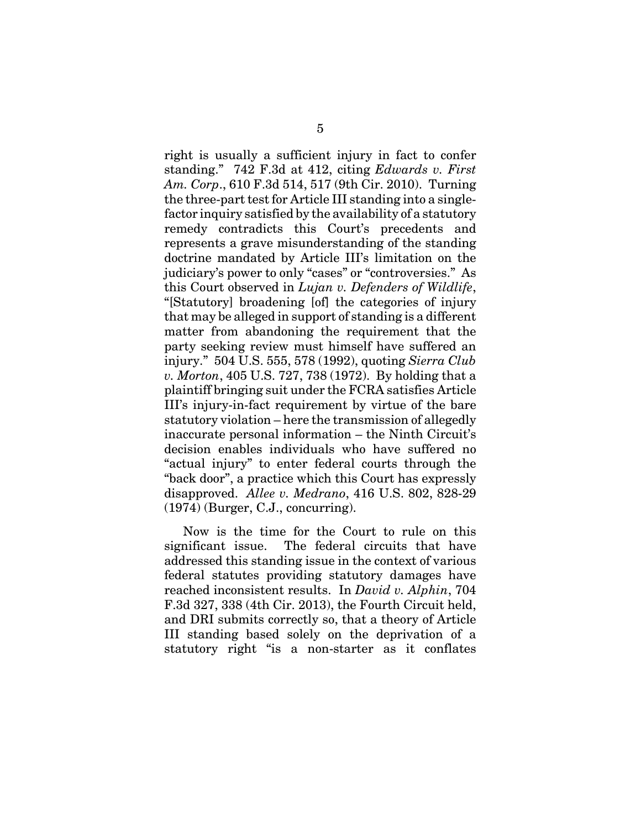right is usually a sufficient injury in fact to confer standing." 742 F.3d at 412, citing *Edwards v. First Am. Corp*., 610 F.3d 514, 517 (9th Cir. 2010). Turning the three-part test for Article III standing into a singlefactor inquiry satisfied by the availability of a statutory remedy contradicts this Court's precedents and represents a grave misunderstanding of the standing doctrine mandated by Article III's limitation on the judiciary's power to only "cases" or "controversies." As this Court observed in *Lujan v. Defenders of Wildlife*, "[Statutory] broadening [of] the categories of injury that may be alleged in support of standing is a different matter from abandoning the requirement that the party seeking review must himself have suffered an injury." 504 U.S. 555, 578 (1992), quoting *Sierra Club v. Morton*, 405 U.S. 727, 738 (1972). By holding that a plaintiff bringing suit under the FCRA satisfies Article III's injury-in-fact requirement by virtue of the bare statutory violation – here the transmission of allegedly inaccurate personal information – the Ninth Circuit's decision enables individuals who have suffered no "actual injury" to enter federal courts through the "back door", a practice which this Court has expressly disapproved. *Allee v. Medrano*, 416 U.S. 802, 828-29 (1974) (Burger, C.J., concurring).

Now is the time for the Court to rule on this significant issue. The federal circuits that have addressed this standing issue in the context of various federal statutes providing statutory damages have reached inconsistent results. In *David v. Alphin*, 704 F.3d 327, 338 (4th Cir. 2013), the Fourth Circuit held, and DRI submits correctly so, that a theory of Article III standing based solely on the deprivation of a statutory right "is a non-starter as it conflates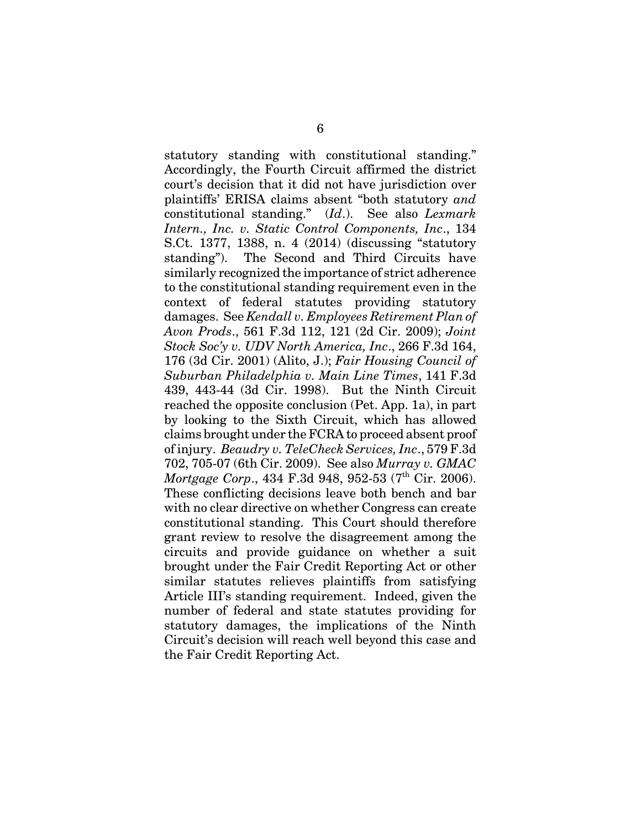statutory standing with constitutional standing." Accordingly, the Fourth Circuit affirmed the district court's decision that it did not have jurisdiction over plaintiffs' ERISA claims absent "both statutory *and* constitutional standing." (*Id*.). See also *Lexmark Intern., Inc. v. Static Control Components, Inc*., 134 S.Ct. 1377, 1388, n. 4 (2014) (discussing "statutory standing"). The Second and Third Circuits have similarly recognized the importance of strict adherence to the constitutional standing requirement even in the context of federal statutes providing statutory damages. See *Kendall v. Employees Retirement Plan of Avon Prods*., 561 F.3d 112, 121 (2d Cir. 2009); *Joint Stock Soc'y v. UDV North America, Inc*., 266 F.3d 164, 176 (3d Cir. 2001) (Alito, J.); *Fair Housing Council of Suburban Philadelphia v. Main Line Times*, 141 F.3d 439, 443-44 (3d Cir. 1998). But the Ninth Circuit reached the opposite conclusion (Pet. App. 1a), in part by looking to the Sixth Circuit, which has allowed claims brought under the FCRA to proceed absent proof of injury. *Beaudry v. TeleCheck Services, Inc*., 579 F.3d 702, 705-07 (6th Cir. 2009). See also *Murray v. GMAC Mortgage Corp.*, 434 F.3d 948, 952-53 (7<sup>th</sup> Cir. 2006). These conflicting decisions leave both bench and bar with no clear directive on whether Congress can create constitutional standing. This Court should therefore grant review to resolve the disagreement among the circuits and provide guidance on whether a suit brought under the Fair Credit Reporting Act or other similar statutes relieves plaintiffs from satisfying Article III's standing requirement. Indeed, given the number of federal and state statutes providing for statutory damages, the implications of the Ninth Circuit's decision will reach well beyond this case and the Fair Credit Reporting Act.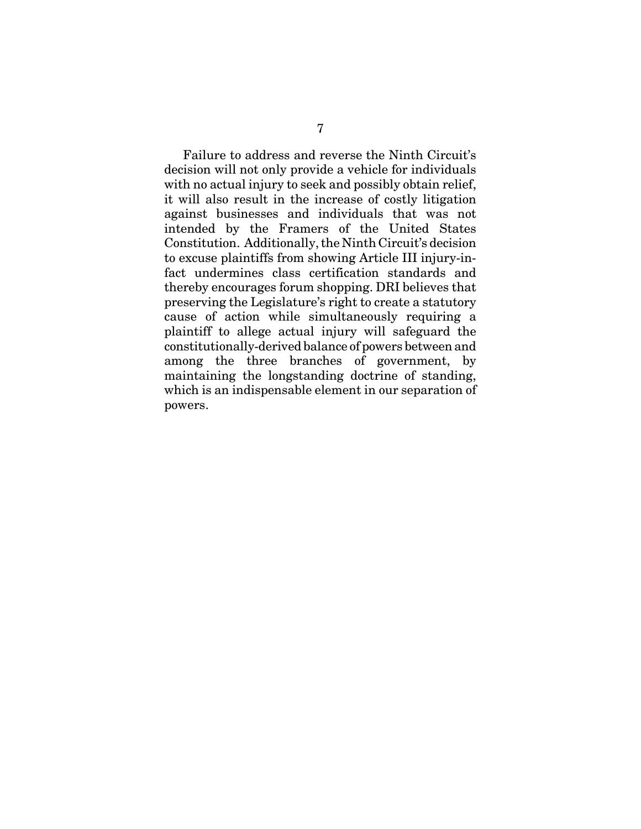Failure to address and reverse the Ninth Circuit's decision will not only provide a vehicle for individuals with no actual injury to seek and possibly obtain relief, it will also result in the increase of costly litigation against businesses and individuals that was not intended by the Framers of the United States Constitution. Additionally, the Ninth Circuit's decision to excuse plaintiffs from showing Article III injury-infact undermines class certification standards and thereby encourages forum shopping. DRI believes that preserving the Legislature's right to create a statutory cause of action while simultaneously requiring a plaintiff to allege actual injury will safeguard the constitutionally-derived balance of powers between and among the three branches of government, by maintaining the longstanding doctrine of standing, which is an indispensable element in our separation of powers.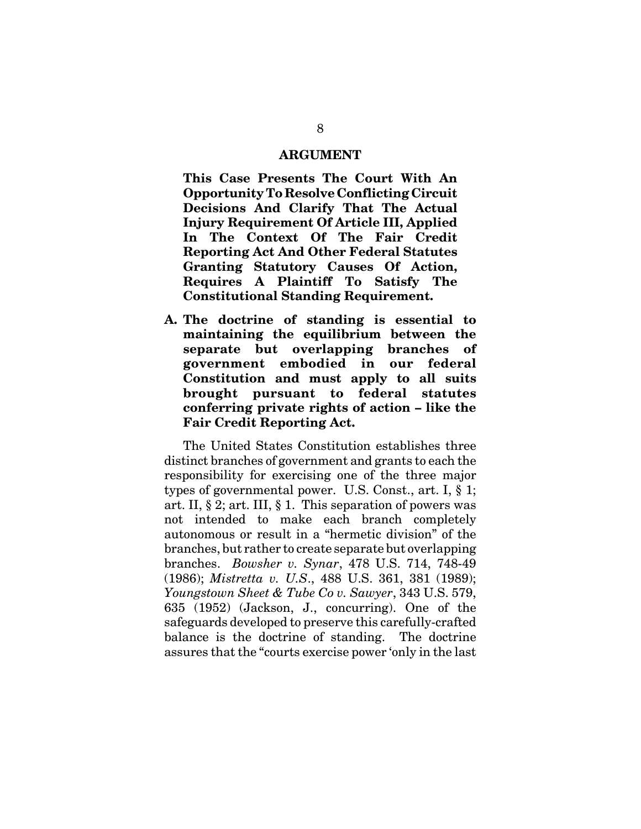#### **ARGUMENT**

**This Case Presents The Court With An Opportunity To Resolve Conflicting Circuit Decisions And Clarify That The Actual Injury Requirement Of Article III, Applied In The Context Of The Fair Credit Reporting Act And Other Federal Statutes Granting Statutory Causes Of Action, Requires A Plaintiff To Satisfy The Constitutional Standing Requirement.**

**A. The doctrine of standing is essential to maintaining the equilibrium between the separate but overlapping branches of government embodied in our federal Constitution and must apply to all suits brought pursuant to federal statutes conferring private rights of action – like the Fair Credit Reporting Act.**

The United States Constitution establishes three distinct branches of government and grants to each the responsibility for exercising one of the three major types of governmental power. U.S. Const., art. I, § 1; art. II, § 2; art. III, § 1. This separation of powers was not intended to make each branch completely autonomous or result in a "hermetic division" of the branches, but rather to create separate but overlapping branches. *Bowsher v. Synar*, 478 U.S. 714, 748-49 (1986); *Mistretta v. U.S*., 488 U.S. 361, 381 (1989); *Youngstown Sheet & Tube Co v. Sawyer*, 343 U.S. 579, 635 (1952) (Jackson, J., concurring). One of the safeguards developed to preserve this carefully-crafted balance is the doctrine of standing. The doctrine assures that the "courts exercise power 'only in the last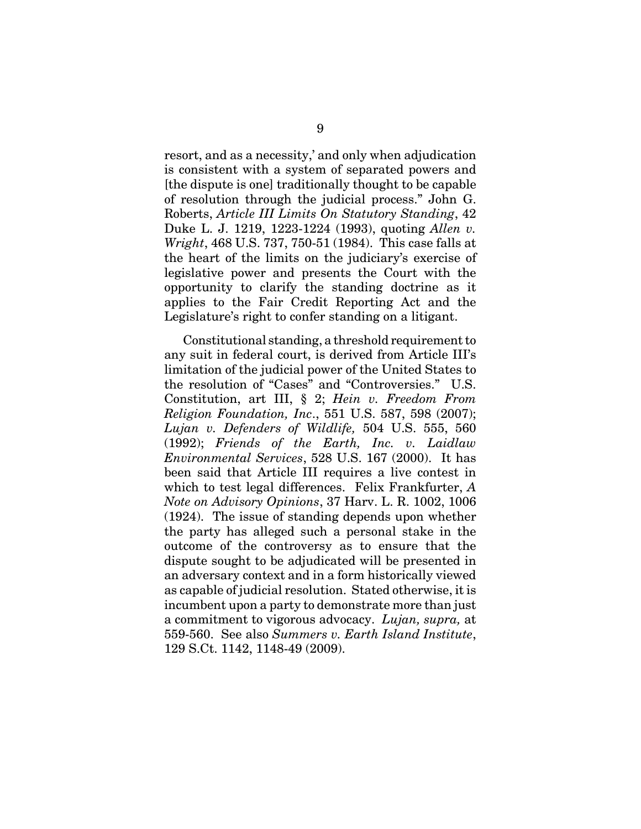resort, and as a necessity,' and only when adjudication is consistent with a system of separated powers and [the dispute is one] traditionally thought to be capable of resolution through the judicial process." John G. Roberts, *Article III Limits On Statutory Standing*, 42 Duke L. J. 1219, 1223-1224 (1993), quoting *Allen v. Wright*, 468 U.S. 737, 750-51 (1984). This case falls at the heart of the limits on the judiciary's exercise of legislative power and presents the Court with the opportunity to clarify the standing doctrine as it applies to the Fair Credit Reporting Act and the Legislature's right to confer standing on a litigant.

Constitutional standing, a threshold requirement to any suit in federal court, is derived from Article III's limitation of the judicial power of the United States to the resolution of "Cases" and "Controversies." U.S. Constitution, art III, § 2; *Hein v. Freedom From Religion Foundation, Inc*., 551 U.S. 587, 598 (2007); *Lujan v. Defenders of Wildlife,* 504 U.S. 555, 560 (1992); *Friends of the Earth, Inc. v. Laidlaw Environmental Services*, 528 U.S. 167 (2000). It has been said that Article III requires a live contest in which to test legal differences. Felix Frankfurter, *A Note on Advisory Opinions*, 37 Harv. L. R. 1002, 1006 (1924). The issue of standing depends upon whether the party has alleged such a personal stake in the outcome of the controversy as to ensure that the dispute sought to be adjudicated will be presented in an adversary context and in a form historically viewed as capable of judicial resolution. Stated otherwise, it is incumbent upon a party to demonstrate more than just a commitment to vigorous advocacy. *Lujan, supra,* at 559-560. See also *Summers v. Earth Island Institute*, 129 S.Ct. 1142, 1148-49 (2009).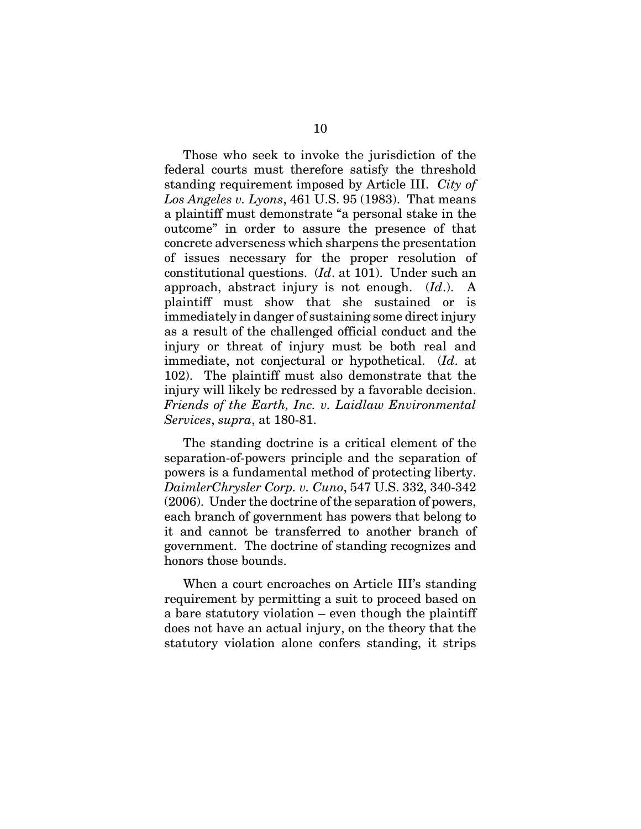Those who seek to invoke the jurisdiction of the federal courts must therefore satisfy the threshold standing requirement imposed by Article III. *City of Los Angeles v. Lyons*, 461 U.S. 95 (1983). That means a plaintiff must demonstrate "a personal stake in the outcome" in order to assure the presence of that concrete adverseness which sharpens the presentation of issues necessary for the proper resolution of constitutional questions. (*Id*. at 101). Under such an approach, abstract injury is not enough. (*Id*.). A plaintiff must show that she sustained or is immediately in danger of sustaining some direct injury as a result of the challenged official conduct and the injury or threat of injury must be both real and immediate, not conjectural or hypothetical. (*Id*. at 102). The plaintiff must also demonstrate that the injury will likely be redressed by a favorable decision. *Friends of the Earth, Inc. v. Laidlaw Environmental Services*, *supra*, at 180-81.

The standing doctrine is a critical element of the separation-of-powers principle and the separation of powers is a fundamental method of protecting liberty. *DaimlerChrysler Corp. v. Cuno*, 547 U.S. 332, 340-342 (2006). Under the doctrine of the separation of powers, each branch of government has powers that belong to it and cannot be transferred to another branch of government. The doctrine of standing recognizes and honors those bounds.

When a court encroaches on Article III's standing requirement by permitting a suit to proceed based on a bare statutory violation – even though the plaintiff does not have an actual injury, on the theory that the statutory violation alone confers standing, it strips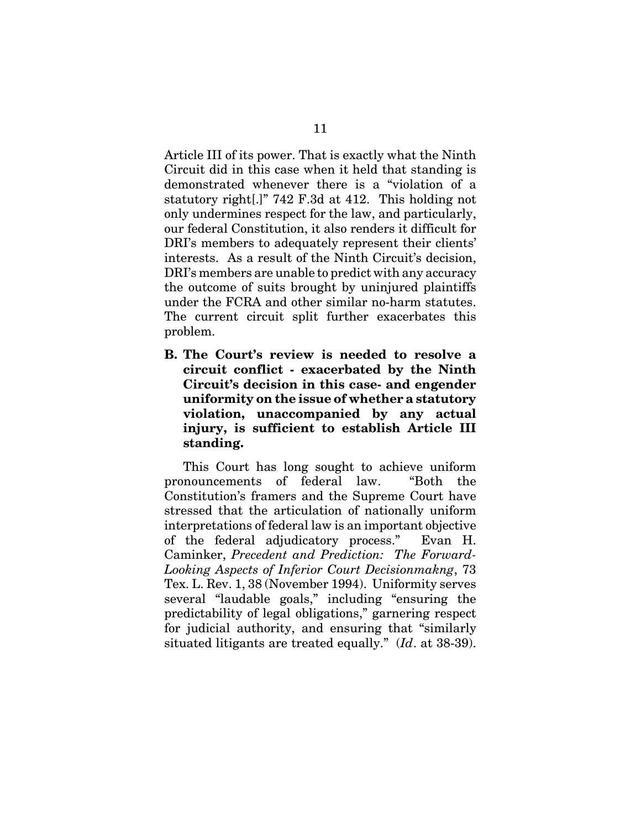Article III of its power. That is exactly what the Ninth Circuit did in this case when it held that standing is demonstrated whenever there is a "violation of a statutory right[.]" 742 F.3d at 412. This holding not only undermines respect for the law, and particularly, our federal Constitution, it also renders it difficult for DRI's members to adequately represent their clients' interests. As a result of the Ninth Circuit's decision, DRI's members are unable to predict with any accuracy the outcome of suits brought by uninjured plaintiffs under the FCRA and other similar no-harm statutes. The current circuit split further exacerbates this problem.

**B. The Court's review is needed to resolve a circuit conflict - exacerbated by the Ninth Circuit's decision in this case- and engender uniformity on the issue of whether a statutory violation, unaccompanied by any actual injury, is sufficient to establish Article III standing.**

This Court has long sought to achieve uniform pronouncements of federal law. "Both the Constitution's framers and the Supreme Court have stressed that the articulation of nationally uniform interpretations of federal law is an important objective of the federal adjudicatory process." Evan H. Caminker, *Precedent and Prediction: The Forward-Looking Aspects of Inferior Court Decisionmakng*, 73 Tex. L. Rev. 1, 38 (November 1994). Uniformity serves several "laudable goals," including "ensuring the predictability of legal obligations," garnering respect for judicial authority, and ensuring that "similarly situated litigants are treated equally." (*Id*. at 38-39).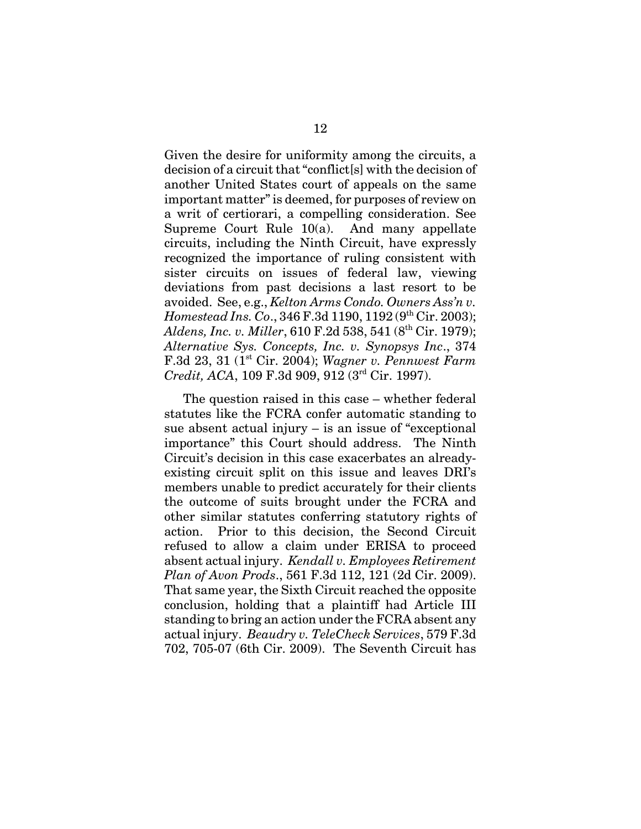Given the desire for uniformity among the circuits, a decision of a circuit that "conflict[s] with the decision of another United States court of appeals on the same important matter" is deemed, for purposes of review on a writ of certiorari, a compelling consideration. See Supreme Court Rule 10(a). And many appellate circuits, including the Ninth Circuit, have expressly recognized the importance of ruling consistent with sister circuits on issues of federal law, viewing deviations from past decisions a last resort to be avoided. See, e.g., *Kelton Arms Condo. Owners Ass'n v. Homestead Ins. Co.*, 346 F.3d 1190, 1192 (9<sup>th</sup> Cir. 2003); *Aldens, Inc. v. Miller, 610 F.2d 538, 541 (8<sup>th</sup> Cir. 1979); Alternative Sys. Concepts, Inc. v. Synopsys Inc*., 374 F.3d 23, 31 (1st Cir. 2004); *Wagner v. Pennwest Farm Credit, ACA*, 109 F.3d 909, 912 (3rd Cir. 1997).

The question raised in this case – whether federal statutes like the FCRA confer automatic standing to sue absent actual injury – is an issue of "exceptional importance" this Court should address. The Ninth Circuit's decision in this case exacerbates an alreadyexisting circuit split on this issue and leaves DRI's members unable to predict accurately for their clients the outcome of suits brought under the FCRA and other similar statutes conferring statutory rights of action. Prior to this decision, the Second Circuit refused to allow a claim under ERISA to proceed absent actual injury. *Kendall v. Employees Retirement Plan of Avon Prods*., 561 F.3d 112, 121 (2d Cir. 2009). That same year, the Sixth Circuit reached the opposite conclusion, holding that a plaintiff had Article III standing to bring an action under the FCRA absent any actual injury. *Beaudry v. TeleCheck Services*, 579 F.3d 702, 705-07 (6th Cir. 2009). The Seventh Circuit has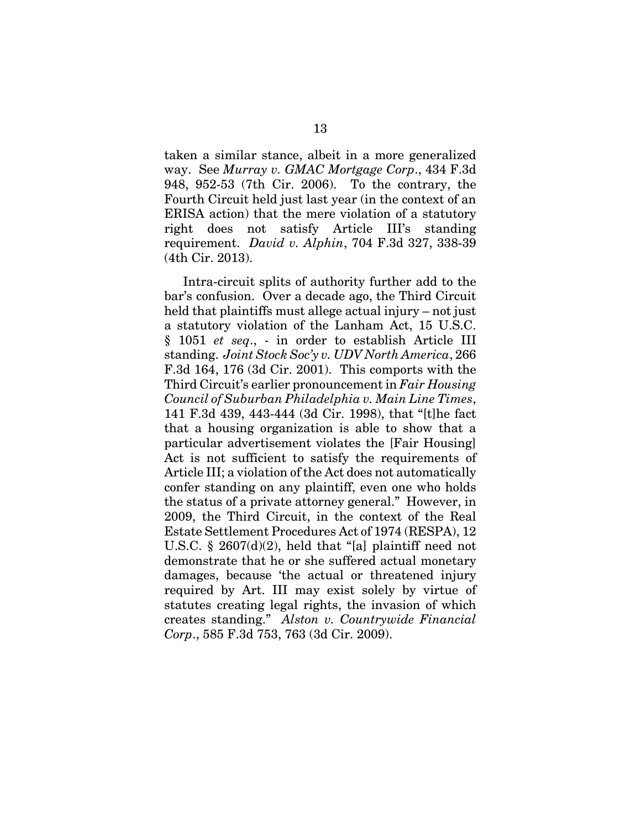taken a similar stance, albeit in a more generalized way. See *Murray v. GMAC Mortgage Corp*., 434 F.3d 948, 952-53 (7th Cir. 2006). To the contrary, the Fourth Circuit held just last year (in the context of an ERISA action) that the mere violation of a statutory right does not satisfy Article III's standing requirement. *David v. Alphin*, 704 F.3d 327, 338-39 (4th Cir. 2013).

Intra-circuit splits of authority further add to the bar's confusion. Over a decade ago, the Third Circuit held that plaintiffs must allege actual injury – not just a statutory violation of the Lanham Act, 15 U.S.C. § 1051 *et seq*., - in order to establish Article III standing. *Joint Stock Soc'y v. UDV North America*, 266 F.3d 164, 176 (3d Cir. 2001). This comports with the Third Circuit's earlier pronouncement in *Fair Housing Council of Suburban Philadelphia v. Main Line Times*, 141 F.3d 439, 443-444 (3d Cir. 1998), that "[t]he fact that a housing organization is able to show that a particular advertisement violates the [Fair Housing] Act is not sufficient to satisfy the requirements of Article III; a violation of the Act does not automatically confer standing on any plaintiff, even one who holds the status of a private attorney general." However, in 2009, the Third Circuit, in the context of the Real Estate Settlement Procedures Act of 1974 (RESPA), 12 U.S.C.  $\S 2607(d)(2)$ , held that "[a] plaintiff need not demonstrate that he or she suffered actual monetary damages, because 'the actual or threatened injury required by Art. III may exist solely by virtue of statutes creating legal rights, the invasion of which creates standing." *Alston v. Countrywide Financial Corp*., 585 F.3d 753, 763 (3d Cir. 2009).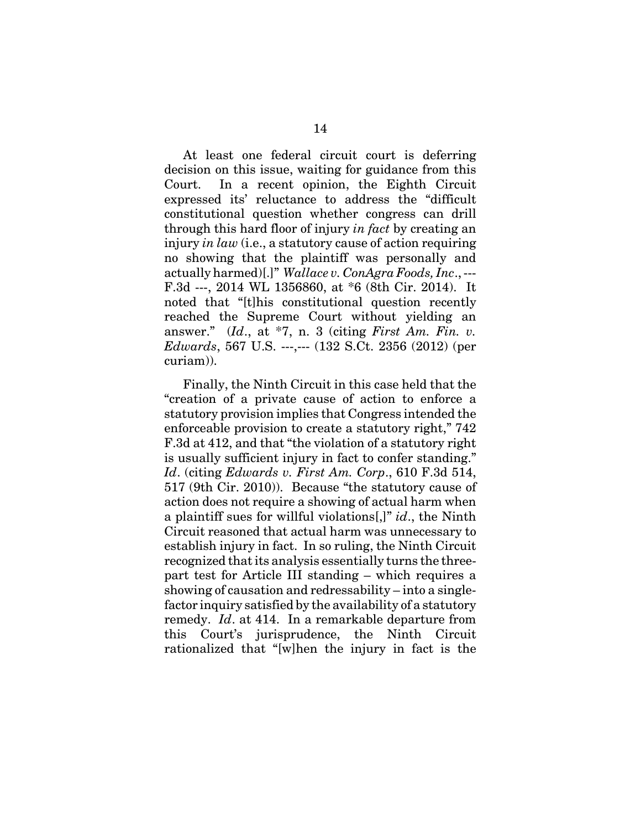At least one federal circuit court is deferring decision on this issue, waiting for guidance from this Court. In a recent opinion, the Eighth Circuit expressed its' reluctance to address the "difficult constitutional question whether congress can drill through this hard floor of injury *in fact* by creating an injury *in law* (i.e., a statutory cause of action requiring no showing that the plaintiff was personally and actually harmed)[.]" *Wallace v. ConAgra Foods, Inc*., --- F.3d ---, 2014 WL 1356860, at \*6 (8th Cir. 2014). It noted that "[t]his constitutional question recently reached the Supreme Court without yielding an answer." (*Id*., at \*7, n. 3 (citing *First Am. Fin. v. Edwards*, 567 U.S. ---,--- (132 S.Ct. 2356 (2012) (per curiam)).

Finally, the Ninth Circuit in this case held that the "creation of a private cause of action to enforce a statutory provision implies that Congress intended the enforceable provision to create a statutory right," 742 F.3d at 412, and that "the violation of a statutory right is usually sufficient injury in fact to confer standing." *Id*. (citing *Edwards v. First Am. Corp*., 610 F.3d 514, 517 (9th Cir. 2010)). Because "the statutory cause of action does not require a showing of actual harm when a plaintiff sues for willful violations[,]" *id*., the Ninth Circuit reasoned that actual harm was unnecessary to establish injury in fact. In so ruling, the Ninth Circuit recognized that its analysis essentially turns the threepart test for Article III standing – which requires a showing of causation and redressability – into a singlefactor inquiry satisfied by the availability of a statutory remedy. *Id*. at 414. In a remarkable departure from this Court's jurisprudence, the Ninth Circuit rationalized that "[w]hen the injury in fact is the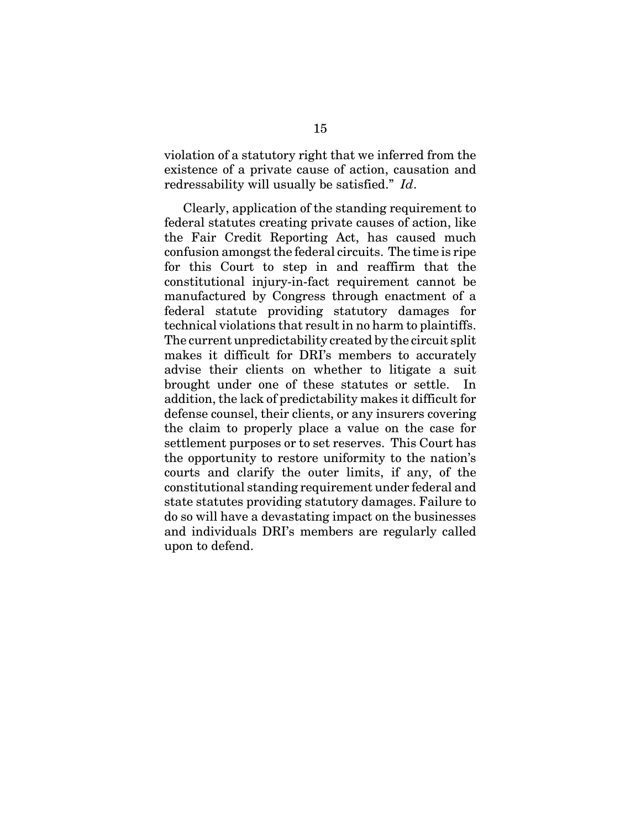violation of a statutory right that we inferred from the existence of a private cause of action, causation and redressability will usually be satisfied." *Id*.

Clearly, application of the standing requirement to federal statutes creating private causes of action, like the Fair Credit Reporting Act, has caused much confusion amongst the federal circuits. The time is ripe for this Court to step in and reaffirm that the constitutional injury-in-fact requirement cannot be manufactured by Congress through enactment of a federal statute providing statutory damages for technical violations that result in no harm to plaintiffs. The current unpredictability created by the circuit split makes it difficult for DRI's members to accurately advise their clients on whether to litigate a suit brought under one of these statutes or settle. In addition, the lack of predictability makes it difficult for defense counsel, their clients, or any insurers covering the claim to properly place a value on the case for settlement purposes or to set reserves. This Court has the opportunity to restore uniformity to the nation's courts and clarify the outer limits, if any, of the constitutional standing requirement under federal and state statutes providing statutory damages. Failure to do so will have a devastating impact on the businesses and individuals DRI's members are regularly called upon to defend.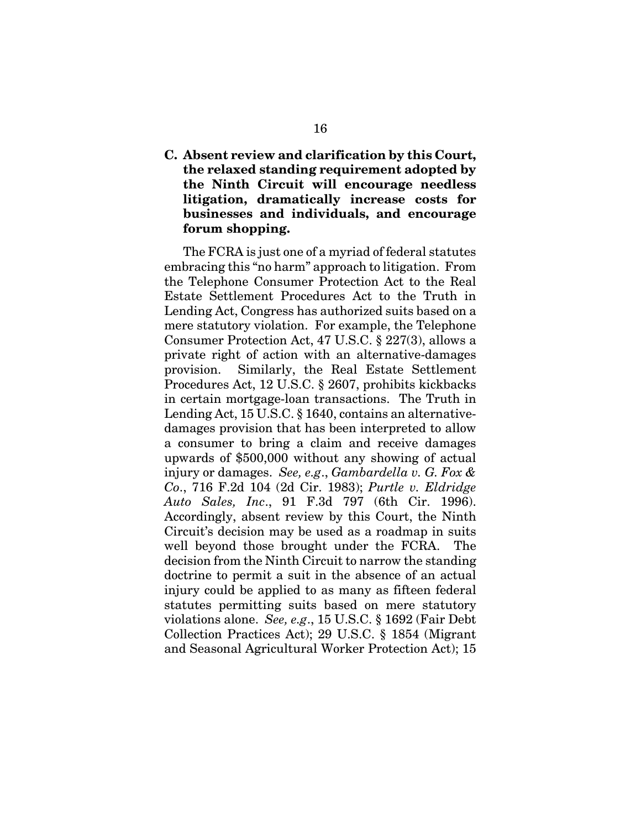**C. Absent review and clarification by this Court, the relaxed standing requirement adopted by the Ninth Circuit will encourage needless litigation, dramatically increase costs for businesses and individuals, and encourage forum shopping.** 

The FCRA is just one of a myriad of federal statutes embracing this "no harm" approach to litigation. From the Telephone Consumer Protection Act to the Real Estate Settlement Procedures Act to the Truth in Lending Act, Congress has authorized suits based on a mere statutory violation. For example, the Telephone Consumer Protection Act, 47 U.S.C. § 227(3), allows a private right of action with an alternative-damages provision. Similarly, the Real Estate Settlement Procedures Act, 12 U.S.C. § 2607, prohibits kickbacks in certain mortgage-loan transactions. The Truth in Lending Act, 15 U.S.C. § 1640, contains an alternativedamages provision that has been interpreted to allow a consumer to bring a claim and receive damages upwards of \$500,000 without any showing of actual injury or damages. *See, e.g*., *Gambardella v. G. Fox & Co*., 716 F.2d 104 (2d Cir. 1983); *Purtle v. Eldridge Auto Sales, Inc*., 91 F.3d 797 (6th Cir. 1996). Accordingly, absent review by this Court, the Ninth Circuit's decision may be used as a roadmap in suits well beyond those brought under the FCRA. The decision from the Ninth Circuit to narrow the standing doctrine to permit a suit in the absence of an actual injury could be applied to as many as fifteen federal statutes permitting suits based on mere statutory violations alone. *See, e.g*., 15 U.S.C. § 1692 (Fair Debt Collection Practices Act); 29 U.S.C. § 1854 (Migrant and Seasonal Agricultural Worker Protection Act); 15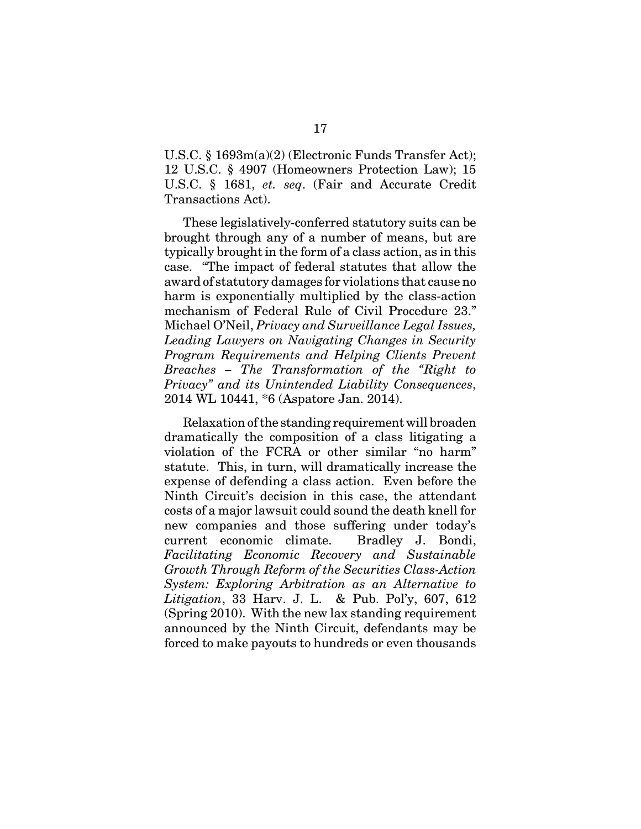U.S.C. § 1693m(a)(2) (Electronic Funds Transfer Act); 12 U.S.C. § 4907 (Homeowners Protection Law); 15 U.S.C. § 1681, *et. seq*. (Fair and Accurate Credit Transactions Act).

These legislatively-conferred statutory suits can be brought through any of a number of means, but are typically brought in the form of a class action, as in this case. "The impact of federal statutes that allow the award of statutory damages for violations that cause no harm is exponentially multiplied by the class-action mechanism of Federal Rule of Civil Procedure 23." Michael O'Neil, *Privacy and Surveillance Legal Issues, Leading Lawyers on Navigating Changes in Security Program Requirements and Helping Clients Prevent Breaches – The Transformation of the "Right to Privacy" and its Unintended Liability Consequences*, 2014 WL 10441, \*6 (Aspatore Jan. 2014).

Relaxation of the standing requirement will broaden dramatically the composition of a class litigating a violation of the FCRA or other similar "no harm" statute. This, in turn, will dramatically increase the expense of defending a class action. Even before the Ninth Circuit's decision in this case, the attendant costs of a major lawsuit could sound the death knell for new companies and those suffering under today's current economic climate. Bradley J. Bondi, *Facilitating Economic Recovery and Sustainable Growth Through Reform of the Securities Class-Action System: Exploring Arbitration as an Alternative to Litigation*, 33 Harv. J. L. & Pub. Pol'y, 607, 612 (Spring 2010). With the new lax standing requirement announced by the Ninth Circuit, defendants may be forced to make payouts to hundreds or even thousands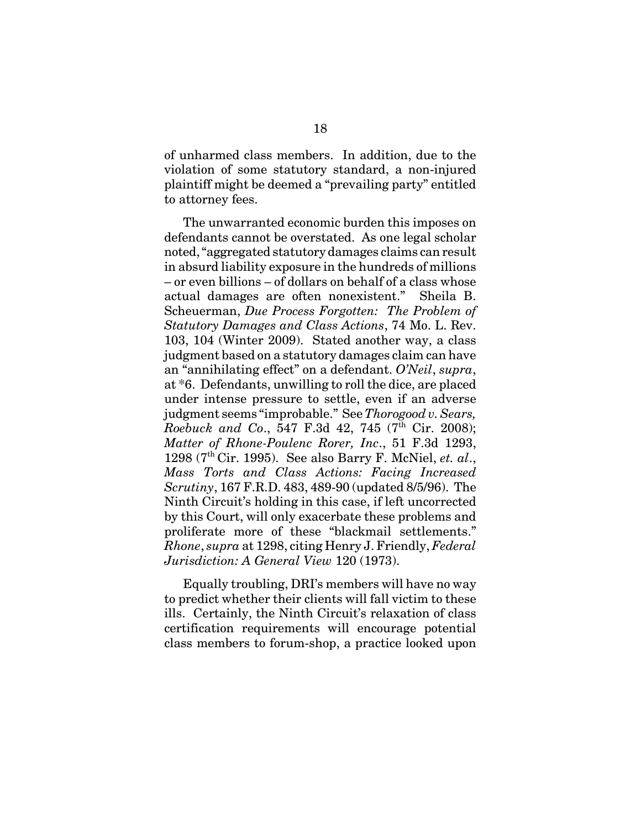of unharmed class members. In addition, due to the violation of some statutory standard, a non-injured plaintiff might be deemed a "prevailing party" entitled to attorney fees.

The unwarranted economic burden this imposes on defendants cannot be overstated. As one legal scholar noted, "aggregated statutory damages claims can result in absurd liability exposure in the hundreds of millions – or even billions – of dollars on behalf of a class whose actual damages are often nonexistent." Sheila B. Scheuerman, *Due Process Forgotten: The Problem of Statutory Damages and Class Actions*, 74 Mo. L. Rev. 103, 104 (Winter 2009). Stated another way, a class judgment based on a statutory damages claim can have an "annihilating effect" on a defendant. *O'Neil*, *supra*, at \*6. Defendants, unwilling to roll the dice, are placed under intense pressure to settle, even if an adverse judgment seems "improbable." See *Thorogood v. Sears, Roebuck and Co.*, 547 F.3d 42, 745 (7<sup>th</sup> Cir. 2008); *Matter of Rhone-Poulenc Rorer, Inc*., 51 F.3d 1293, 1298 (7th Cir. 1995). See also Barry F. McNiel, *et. al*., *Mass Torts and Class Actions: Facing Increased Scrutiny*, 167 F.R.D. 483, 489-90 (updated 8/5/96). The Ninth Circuit's holding in this case, if left uncorrected by this Court, will only exacerbate these problems and proliferate more of these "blackmail settlements." *Rhone*, *supra* at 1298, citing Henry J. Friendly, *Federal Jurisdiction: A General View* 120 (1973).

Equally troubling, DRI's members will have no way to predict whether their clients will fall victim to these ills. Certainly, the Ninth Circuit's relaxation of class certification requirements will encourage potential class members to forum-shop, a practice looked upon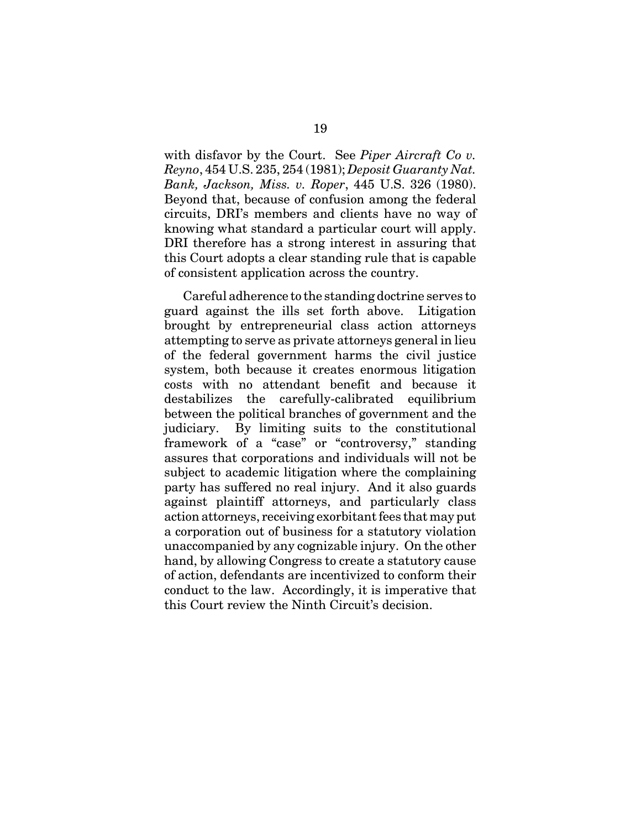with disfavor by the Court. See *Piper Aircraft Co v. Reyno*, 454 U.S. 235, 254 (1981); *Deposit Guaranty Nat. Bank, Jackson, Miss. v. Roper*, 445 U.S. 326 (1980). Beyond that, because of confusion among the federal circuits, DRI's members and clients have no way of knowing what standard a particular court will apply. DRI therefore has a strong interest in assuring that this Court adopts a clear standing rule that is capable of consistent application across the country.

Careful adherence to the standing doctrine serves to guard against the ills set forth above. Litigation brought by entrepreneurial class action attorneys attempting to serve as private attorneys general in lieu of the federal government harms the civil justice system, both because it creates enormous litigation costs with no attendant benefit and because it destabilizes the carefully-calibrated equilibrium between the political branches of government and the judiciary. By limiting suits to the constitutional framework of a "case" or "controversy," standing assures that corporations and individuals will not be subject to academic litigation where the complaining party has suffered no real injury. And it also guards against plaintiff attorneys, and particularly class action attorneys, receiving exorbitant fees that may put a corporation out of business for a statutory violation unaccompanied by any cognizable injury. On the other hand, by allowing Congress to create a statutory cause of action, defendants are incentivized to conform their conduct to the law. Accordingly, it is imperative that this Court review the Ninth Circuit's decision.